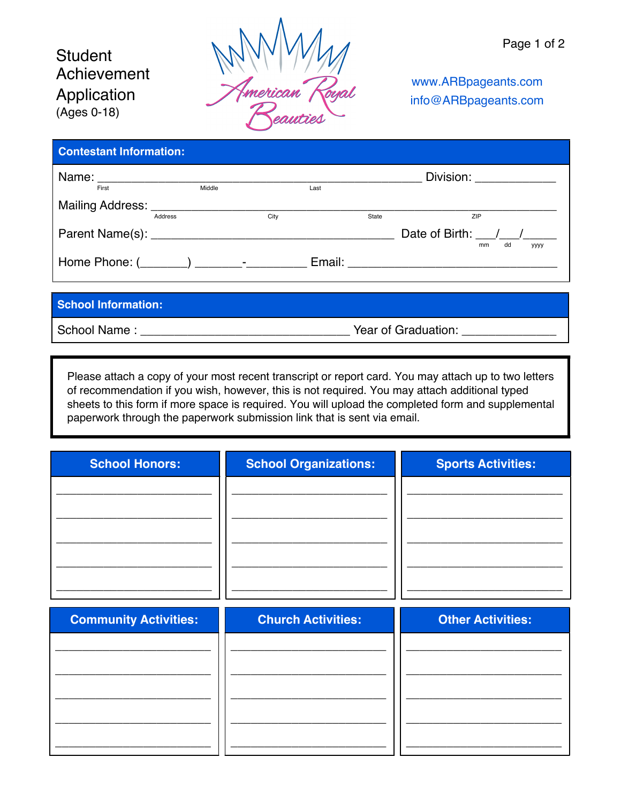## **Student** Achievement Application (Ages 0-18)



www.ARBpageants.com info@ARBpageants.com

| <b>Contestant Information:</b> |         |        |      |      |       |                         |
|--------------------------------|---------|--------|------|------|-------|-------------------------|
|                                |         |        |      |      |       | Division: 2000          |
| First                          |         | Middle |      | Last |       |                         |
|                                |         |        |      |      |       |                         |
|                                | Address |        | City |      | State | ZIP                     |
|                                |         |        |      |      |       | Date of Birth: / /      |
|                                |         |        |      |      |       | dd<br>mm<br><b>YYYY</b> |
|                                |         |        |      |      |       |                         |
|                                |         |        |      |      |       |                         |
|                                |         |        |      |      |       |                         |

## **School Information:**

School Name : \_\_\_\_\_\_\_\_\_\_\_\_\_\_\_\_\_\_\_\_\_\_\_\_\_\_\_\_\_\_\_ Year of Graduation: \_\_\_\_\_\_\_\_\_\_\_\_\_\_

Please attach a copy of your most recent transcript or report card. You may attach up to two letters of recommendation if you wish, however, this is not required. You may attach additional typed sheets to this form if more space is required. You will upload the completed form and supplemental paperwork through the paperwork submission link that is sent via email.

| <b>School Honors:</b>        | <b>School Organizations:</b> | <b>Sports Activities:</b> |
|------------------------------|------------------------------|---------------------------|
|                              |                              |                           |
|                              |                              |                           |
|                              |                              |                           |
|                              |                              |                           |
|                              |                              |                           |
|                              |                              |                           |
| <b>Community Activities:</b> | <b>Church Activities:</b>    | <b>Other Activities:</b>  |
|                              |                              |                           |
|                              |                              |                           |
|                              |                              |                           |
|                              |                              |                           |